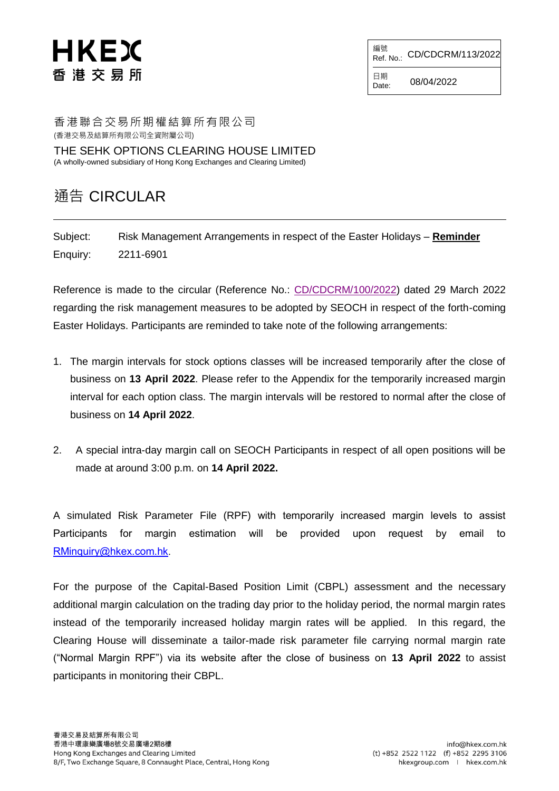## HKEX 香 港 交 易 所

編號<br>Ref. No.: CD/CDCRM/113/2022

日期  $Date: 08/04/2022$ 

香港聯合交易所期權結算所有限公司 (香港交易及結算所有限公司全資附屬公司) THE SEHK OPTIONS CLEARING HOUSE LIMITED

(A wholly-owned subsidiary of Hong Kong Exchanges and Clearing Limited)

#### 通告 CIRCULAR

Subject: Risk Management Arrangements in respect of the Easter Holidays – **Reminder** Enquiry: 2211-6901

Reference is made to the circular (Reference No.: [CD/CDCRM/100/2022\)](https://www.hkex.com.hk/-/media/HKEX-Market/Services/Circulars-and-Notices/Participant-and-Members-Circulars/SEOCH/2022/ce_SEOCH_DCRC_100_2022.pdf) dated 29 March 2022 regarding the risk management measures to be adopted by SEOCH in respect of the forth-coming Easter Holidays. Participants are reminded to take note of the following arrangements:

- 1. The margin intervals for stock options classes will be increased temporarily after the close of business on **13 April 2022**. Please refer to the Appendix for the temporarily increased margin interval for each option class. The margin intervals will be restored to normal after the close of business on **14 April 2022**.
- 2. A special intra-day margin call on SEOCH Participants in respect of all open positions will be made at around 3:00 p.m. on **14 April 2022.**

A simulated Risk Parameter File (RPF) with temporarily increased margin levels to assist Participants for margin estimation will be provided upon request by email to [RMinquiry@hkex.com.hk](mailto:RMinquiry@hkex.com.hk).

For the purpose of the Capital-Based Position Limit (CBPL) assessment and the necessary additional margin calculation on the trading day prior to the holiday period, the normal margin rates instead of the temporarily increased holiday margin rates will be applied. In this regard, the Clearing House will disseminate a tailor-made risk parameter file carrying normal margin rate ("Normal Margin RPF") via its website after the close of business on **13 April 2022** to assist participants in monitoring their CBPL.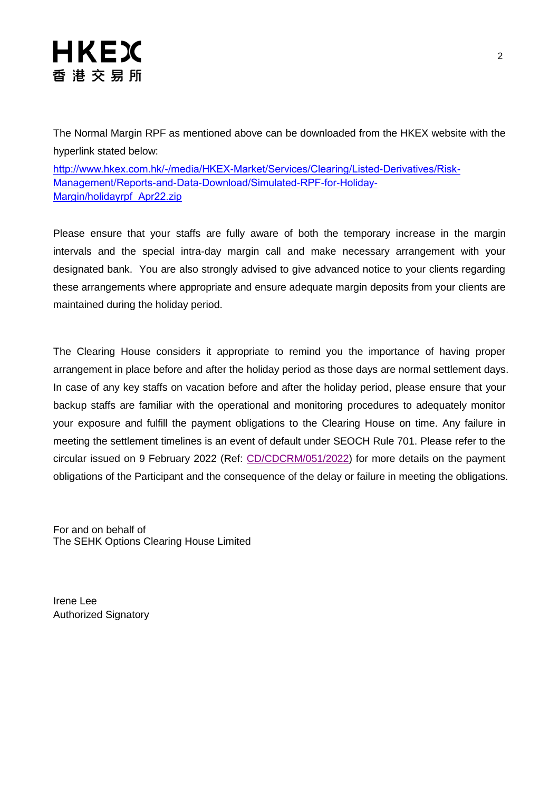The Normal Margin RPF as mentioned above can be downloaded from the HKEX website with the hyperlink stated below:

[http://www.hkex.com.hk/-/media/HKEX-Market/Services/Clearing/Listed-Derivatives/Risk-](http://www.hkex.com.hk/-/media/HKEX-Market/Services/Clearing/Listed-Derivatives/Risk-Management/Reports-and-Data-Download/Simulated-RPF-for-Holiday-Margin/holidayrpf_Apr22.zip)[Management/Reports-and-Data-Download/Simulated-RPF-for-Holiday-](http://www.hkex.com.hk/-/media/HKEX-Market/Services/Clearing/Listed-Derivatives/Risk-Management/Reports-and-Data-Download/Simulated-RPF-for-Holiday-Margin/holidayrpf_Apr22.zip)[Margin/holidayrpf\\_Apr22.zip](http://www.hkex.com.hk/-/media/HKEX-Market/Services/Clearing/Listed-Derivatives/Risk-Management/Reports-and-Data-Download/Simulated-RPF-for-Holiday-Margin/holidayrpf_Apr22.zip)

Please ensure that your staffs are fully aware of both the temporary increase in the margin intervals and the special intra-day margin call and make necessary arrangement with your designated bank. You are also strongly advised to give advanced notice to your clients regarding these arrangements where appropriate and ensure adequate margin deposits from your clients are maintained during the holiday period.

The Clearing House considers it appropriate to remind you the importance of having proper arrangement in place before and after the holiday period as those days are normal settlement days. In case of any key staffs on vacation before and after the holiday period, please ensure that your backup staffs are familiar with the operational and monitoring procedures to adequately monitor your exposure and fulfill the payment obligations to the Clearing House on time. Any failure in meeting the settlement timelines is an event of default under SEOCH Rule 701. Please refer to the circular issued on 9 February 2022 (Ref: [CD/CDCRM/051/2022\)](https://www.hkex.com.hk/-/media/HKEX-Market/Services/Circulars-and-Notices/Participant-and-Members-Circulars/SEOCH/2022/ce_SEOCH_DCRC_051_2022.pdf) for more details on the payment obligations of the Participant and the consequence of the delay or failure in meeting the obligations.

For and on behalf of The SEHK Options Clearing House Limited

Irene Lee Authorized Signatory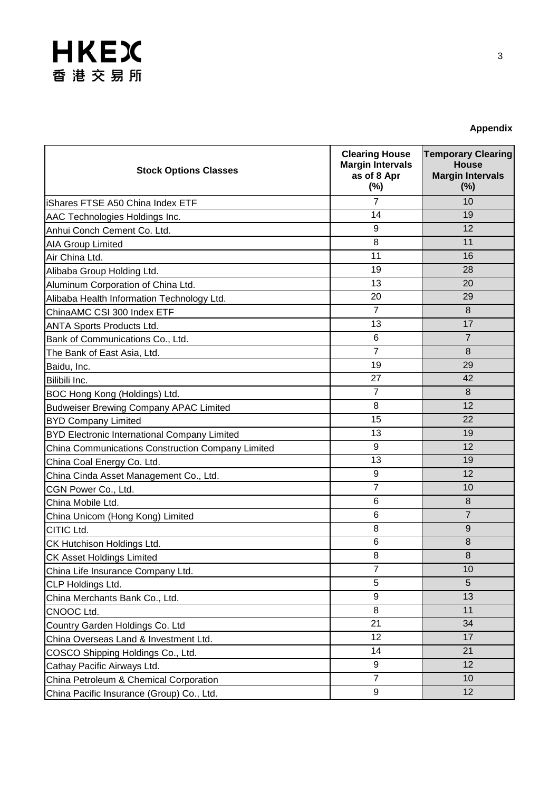| <b>Appendix</b> |  |
|-----------------|--|
|-----------------|--|

| <b>Stock Options Classes</b>                        | <b>Clearing House</b><br><b>Margin Intervals</b><br>as of 8 Apr<br>$(\%)$ | <b>Temporary Clearing</b><br><b>House</b><br><b>Margin Intervals</b><br>(%) |
|-----------------------------------------------------|---------------------------------------------------------------------------|-----------------------------------------------------------------------------|
| <b>iShares FTSE A50 China Index ETF</b>             | $\overline{7}$                                                            | 10                                                                          |
| AAC Technologies Holdings Inc.                      | 14                                                                        | 19                                                                          |
| Anhui Conch Cement Co. Ltd.                         | 9                                                                         | 12                                                                          |
| <b>AIA Group Limited</b>                            | 8                                                                         | 11                                                                          |
| Air China Ltd.                                      | 11                                                                        | 16                                                                          |
| Alibaba Group Holding Ltd.                          | 19                                                                        | 28                                                                          |
| Aluminum Corporation of China Ltd.                  | 13                                                                        | 20                                                                          |
| Alibaba Health Information Technology Ltd.          | 20                                                                        | 29                                                                          |
| ChinaAMC CSI 300 Index ETF                          | $\overline{7}$                                                            | 8                                                                           |
| <b>ANTA Sports Products Ltd.</b>                    | 13                                                                        | 17                                                                          |
| Bank of Communications Co., Ltd.                    | 6                                                                         | $\overline{7}$                                                              |
| The Bank of East Asia, Ltd.                         | $\overline{7}$                                                            | 8                                                                           |
| Baidu, Inc.                                         | 19                                                                        | 29                                                                          |
| Bilibili Inc.                                       | 27                                                                        | 42                                                                          |
| BOC Hong Kong (Holdings) Ltd.                       | $\overline{7}$                                                            | 8                                                                           |
| <b>Budweiser Brewing Company APAC Limited</b>       | 8                                                                         | 12                                                                          |
| <b>BYD Company Limited</b>                          | 15                                                                        | 22                                                                          |
| <b>BYD Electronic International Company Limited</b> | 13                                                                        | 19                                                                          |
| China Communications Construction Company Limited   | 9                                                                         | 12                                                                          |
| China Coal Energy Co. Ltd.                          | 13                                                                        | 19                                                                          |
| China Cinda Asset Management Co., Ltd.              | 9                                                                         | 12                                                                          |
| CGN Power Co., Ltd.                                 | $\overline{7}$                                                            | 10                                                                          |
| China Mobile Ltd.                                   | 6                                                                         | 8                                                                           |
| China Unicom (Hong Kong) Limited                    | 6                                                                         | $\overline{7}$                                                              |
| CITIC Ltd.                                          | 8                                                                         | 9                                                                           |
| CK Hutchison Holdings Ltd.                          | 6                                                                         | 8                                                                           |
| CK Asset Holdings Limited                           | 8                                                                         | 8                                                                           |
| China Life Insurance Company Ltd.                   | $\overline{7}$                                                            | 10                                                                          |
| CLP Holdings Ltd.                                   | 5                                                                         | 5                                                                           |
| China Merchants Bank Co., Ltd.                      | 9                                                                         | 13                                                                          |
| CNOOC Ltd.                                          | 8                                                                         | 11                                                                          |
| Country Garden Holdings Co. Ltd                     | 21                                                                        | 34                                                                          |
| China Overseas Land & Investment Ltd.               | 12                                                                        | 17                                                                          |
| COSCO Shipping Holdings Co., Ltd.                   | 14                                                                        | 21                                                                          |
| Cathay Pacific Airways Ltd.                         | 9                                                                         | 12                                                                          |
| China Petroleum & Chemical Corporation              | $\overline{7}$                                                            | 10                                                                          |
| China Pacific Insurance (Group) Co., Ltd.           | 9                                                                         | 12                                                                          |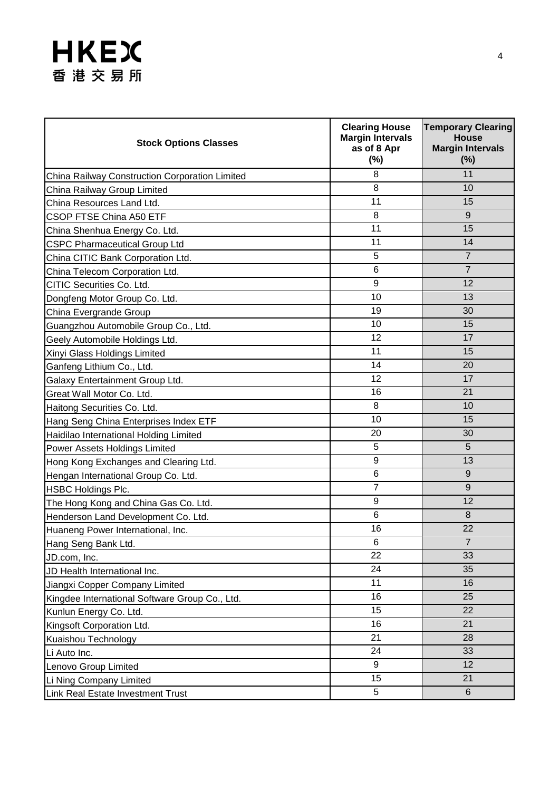| <b>Stock Options Classes</b>                   | <b>Clearing House</b><br><b>Margin Intervals</b><br>as of 8 Apr<br>(%) | <b>Temporary Clearing</b><br><b>House</b><br><b>Margin Intervals</b><br>(%) |
|------------------------------------------------|------------------------------------------------------------------------|-----------------------------------------------------------------------------|
| China Railway Construction Corporation Limited | 8                                                                      | 11                                                                          |
| China Railway Group Limited                    | 8                                                                      | 10                                                                          |
| China Resources Land Ltd.                      | 11                                                                     | 15                                                                          |
| <b>CSOP FTSE China A50 ETF</b>                 | 8                                                                      | 9                                                                           |
| China Shenhua Energy Co. Ltd.                  | 11                                                                     | 15                                                                          |
| <b>CSPC Pharmaceutical Group Ltd</b>           | 11                                                                     | 14                                                                          |
| China CITIC Bank Corporation Ltd.              | 5                                                                      | $\overline{7}$                                                              |
| China Telecom Corporation Ltd.                 | 6                                                                      | $\overline{7}$                                                              |
| CITIC Securities Co. Ltd.                      | 9                                                                      | 12                                                                          |
| Dongfeng Motor Group Co. Ltd.                  | 10                                                                     | 13                                                                          |
| China Evergrande Group                         | 19                                                                     | 30                                                                          |
| Guangzhou Automobile Group Co., Ltd.           | 10                                                                     | 15                                                                          |
| Geely Automobile Holdings Ltd.                 | 12                                                                     | 17                                                                          |
| Xinyi Glass Holdings Limited                   | 11                                                                     | 15                                                                          |
| Ganfeng Lithium Co., Ltd.                      | 14                                                                     | 20                                                                          |
| Galaxy Entertainment Group Ltd.                | 12                                                                     | 17                                                                          |
| Great Wall Motor Co. Ltd.                      | 16                                                                     | 21                                                                          |
| Haitong Securities Co. Ltd.                    | 8                                                                      | 10                                                                          |
| Hang Seng China Enterprises Index ETF          | 10                                                                     | 15                                                                          |
| Haidilao International Holding Limited         | 20                                                                     | 30                                                                          |
| Power Assets Holdings Limited                  | 5                                                                      | 5                                                                           |
| Hong Kong Exchanges and Clearing Ltd.          | 9                                                                      | 13                                                                          |
| Hengan International Group Co. Ltd.            | 6                                                                      | 9                                                                           |
| HSBC Holdings Plc.                             | $\overline{7}$                                                         | 9                                                                           |
| The Hong Kong and China Gas Co. Ltd.           | 9                                                                      | 12                                                                          |
| Henderson Land Development Co. Ltd.            | 6                                                                      | 8                                                                           |
| Huaneng Power International, Inc.              | 16                                                                     | 22                                                                          |
| Hang Seng Bank Ltd.                            | 6                                                                      | $\overline{7}$                                                              |
| JD.com, Inc.                                   | 22                                                                     | 33                                                                          |
| JD Health International Inc.                   | 24                                                                     | 35                                                                          |
| Jiangxi Copper Company Limited                 | 11                                                                     | 16                                                                          |
| Kingdee International Software Group Co., Ltd. | 16                                                                     | 25                                                                          |
| Kunlun Energy Co. Ltd.                         | 15                                                                     | 22                                                                          |
| Kingsoft Corporation Ltd.                      | 16                                                                     | 21                                                                          |
| Kuaishou Technology                            | 21                                                                     | 28                                                                          |
| Li Auto Inc.                                   | 24                                                                     | 33                                                                          |
| Lenovo Group Limited                           | 9                                                                      | 12                                                                          |
| Li Ning Company Limited                        | 15                                                                     | 21                                                                          |
| Link Real Estate Investment Trust              | 5                                                                      | 6                                                                           |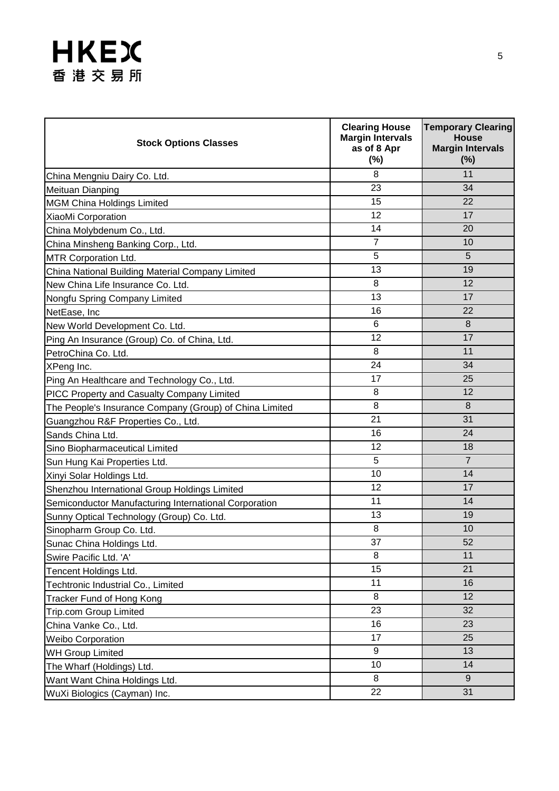| <b>Stock Options Classes</b>                            | <b>Clearing House</b><br><b>Margin Intervals</b><br>as of 8 Apr<br>$(\%)$ | <b>Temporary Clearing</b><br><b>House</b><br><b>Margin Intervals</b><br>$(\%)$ |
|---------------------------------------------------------|---------------------------------------------------------------------------|--------------------------------------------------------------------------------|
| China Mengniu Dairy Co. Ltd.                            | 8                                                                         | 11                                                                             |
| Meituan Dianping                                        | 23                                                                        | 34                                                                             |
| <b>MGM China Holdings Limited</b>                       | 15                                                                        | 22                                                                             |
| XiaoMi Corporation                                      | 12                                                                        | 17                                                                             |
| China Molybdenum Co., Ltd.                              | 14                                                                        | 20                                                                             |
| China Minsheng Banking Corp., Ltd.                      | $\overline{7}$                                                            | 10                                                                             |
| MTR Corporation Ltd.                                    | 5                                                                         | 5                                                                              |
| China National Building Material Company Limited        | 13                                                                        | 19                                                                             |
| New China Life Insurance Co. Ltd.                       | 8                                                                         | 12                                                                             |
| Nongfu Spring Company Limited                           | 13                                                                        | 17                                                                             |
| NetEase, Inc                                            | 16                                                                        | 22                                                                             |
| New World Development Co. Ltd.                          | 6                                                                         | 8                                                                              |
| Ping An Insurance (Group) Co. of China, Ltd.            | 12                                                                        | 17                                                                             |
| PetroChina Co. Ltd.                                     | 8                                                                         | 11                                                                             |
| XPeng Inc.                                              | 24                                                                        | 34                                                                             |
| Ping An Healthcare and Technology Co., Ltd.             | 17                                                                        | 25                                                                             |
| PICC Property and Casualty Company Limited              | 8                                                                         | 12                                                                             |
| The People's Insurance Company (Group) of China Limited | 8                                                                         | 8                                                                              |
| Guangzhou R&F Properties Co., Ltd.                      | 21                                                                        | 31                                                                             |
| Sands China Ltd.                                        | 16                                                                        | 24                                                                             |
| Sino Biopharmaceutical Limited                          | 12                                                                        | 18                                                                             |
| Sun Hung Kai Properties Ltd.                            | 5                                                                         | $\overline{7}$                                                                 |
| Xinyi Solar Holdings Ltd.                               | 10                                                                        | 14                                                                             |
| Shenzhou International Group Holdings Limited           | 12                                                                        | 17                                                                             |
| Semiconductor Manufacturing International Corporation   | 11                                                                        | 14                                                                             |
| Sunny Optical Technology (Group) Co. Ltd.               | 13                                                                        | 19                                                                             |
| Sinopharm Group Co. Ltd.                                | 8                                                                         | 10                                                                             |
| Sunac China Holdings Ltd.                               | 37                                                                        | 52                                                                             |
| Swire Pacific Ltd. 'A'                                  | 8                                                                         | 11                                                                             |
| Tencent Holdings Ltd.                                   | 15                                                                        | 21                                                                             |
| Techtronic Industrial Co., Limited                      | 11                                                                        | 16                                                                             |
| Tracker Fund of Hong Kong                               | 8                                                                         | 12                                                                             |
| <b>Trip.com Group Limited</b>                           | 23                                                                        | 32                                                                             |
| China Vanke Co., Ltd.                                   | 16                                                                        | 23                                                                             |
| <b>Weibo Corporation</b>                                | 17                                                                        | 25                                                                             |
| <b>WH Group Limited</b>                                 | 9                                                                         | 13                                                                             |
| The Wharf (Holdings) Ltd.                               | 10                                                                        | 14                                                                             |
| Want Want China Holdings Ltd.                           | 8                                                                         | 9                                                                              |
| WuXi Biologics (Cayman) Inc.                            | 22                                                                        | 31                                                                             |